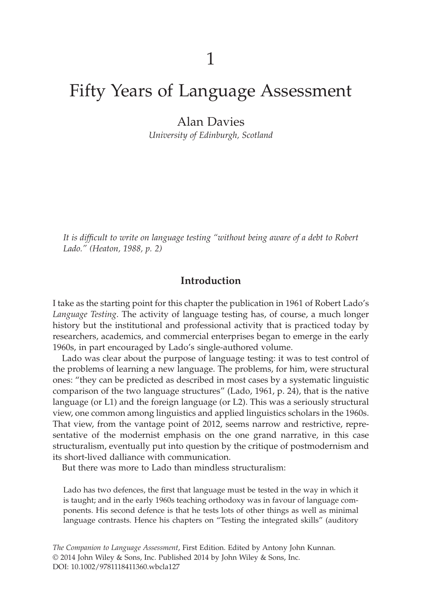# Fifty Years of Language Assessment

Alan Davies

*University of Edinburgh, Scotland*

*It is difficult to write on language testing "without being aware of a debt to Robert Lado." (Heaton, 1988, p. 2)*

# **Introduction**

I take as the starting point for this chapter the publication in 1961 of Robert Lado's *Language Testing*. The activity of language testing has, of course, a much longer history but the institutional and professional activity that is practiced today by researchers, academics, and commercial enterprises began to emerge in the early 1960s, in part encouraged by Lado's single-authored volume.

Lado was clear about the purpose of language testing: it was to test control of the problems of learning a new language. The problems, for him, were structural ones: "they can be predicted as described in most cases by a systematic linguistic comparison of the two language structures" (Lado, 1961, p. 24), that is the native language (or L1) and the foreign language (or L2). This was a seriously structural view, one common among linguistics and applied linguistics scholars in the 1960s. That view, from the vantage point of 2012, seems narrow and restrictive, representative of the modernist emphasis on the one grand narrative, in this case structuralism, eventually put into question by the critique of postmodernism and its short-lived dalliance with communication.

But there was more to Lado than mindless structuralism:

Lado has two defences, the first that language must be tested in the way in which it is taught; and in the early 1960s teaching orthodoxy was in favour of language components. His second defence is that he tests lots of other things as well as minimal language contrasts. Hence his chapters on "Testing the integrated skills" (auditory

*The Companion to Language Assessment*, First Edition. Edited by Antony John Kunnan. © 2014 John Wiley & Sons, Inc. Published 2014 by John Wiley & Sons, Inc. DOI: 10.1002/9781118411360.wbcla127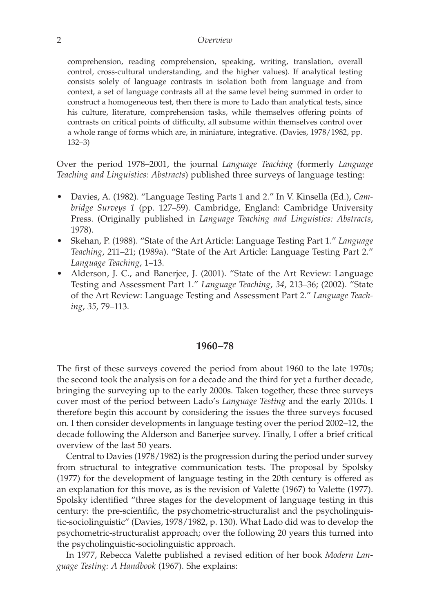comprehension, reading comprehension, speaking, writing, translation, overall control, cross-cultural understanding, and the higher values). If analytical testing consists solely of language contrasts in isolation both from language and from context, a set of language contrasts all at the same level being summed in order to construct a homogeneous test, then there is more to Lado than analytical tests, since his culture, literature, comprehension tasks, while themselves offering points of contrasts on critical points of difficulty, all subsume within themselves control over a whole range of forms which are, in miniature, integrative. (Davies, 1978/1982, pp. 132–3)

Over the period 1978–2001, the journal *Language Teaching* (formerly *Language Teaching and Linguistics: Abstracts*) published three surveys of language testing:

- Davies, A. (1982). "Language Testing Parts 1 and 2." In V. Kinsella (Ed.), *Cambridge Surveys 1* (pp. 127–59). Cambridge, England: Cambridge University Press. (Originally published in *Language Teaching and Linguistics: Abstracts*, 1978).
- Skehan, P. (1988). "State of the Art Article: Language Testing Part 1." *Language Teaching*, 211–21; (1989a). "State of the Art Article: Language Testing Part 2." *Language Teaching*, 1–13.
- Alderson, J. C., and Banerjee, J. (2001). "State of the Art Review: Language Testing and Assessment Part 1." *Language Teaching*, *34*, 213–36; (2002). "State of the Art Review: Language Testing and Assessment Part 2." *Language Teaching*, *35*, 79–113.

#### **1960–78**

The first of these surveys covered the period from about 1960 to the late 1970s; the second took the analysis on for a decade and the third for yet a further decade, bringing the surveying up to the early 2000s. Taken together, these three surveys cover most of the period between Lado's *Language Testing* and the early 2010s. I therefore begin this account by considering the issues the three surveys focused on. I then consider developments in language testing over the period 2002–12, the decade following the Alderson and Banerjee survey. Finally, I offer a brief critical overview of the last 50 years.

Central to Davies (1978/1982) is the progression during the period under survey from structural to integrative communication tests. The proposal by Spolsky (1977) for the development of language testing in the 20th century is offered as an explanation for this move, as is the revision of Valette (1967) to Valette (1977). Spolsky identified "three stages for the development of language testing in this century: the pre-scientific, the psychometric-structuralist and the psycholinguistic-sociolinguistic" (Davies, 1978/1982, p. 130). What Lado did was to develop the psychometric-structuralist approach; over the following 20 years this turned into the psycholinguistic-sociolinguistic approach.

In 1977, Rebecca Valette published a revised edition of her book *Modern Language Testing: A Handbook* (1967). She explains: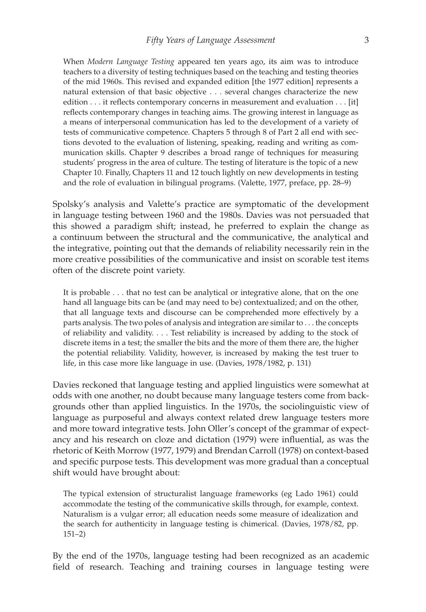When *Modern Language Testing* appeared ten years ago, its aim was to introduce teachers to a diversity of testing techniques based on the teaching and testing theories of the mid 1960s. This revised and expanded edition [the 1977 edition] represents a natural extension of that basic objective . . . several changes characterize the new edition . . . it reflects contemporary concerns in measurement and evaluation . . . [it] reflects contemporary changes in teaching aims. The growing interest in language as a means of interpersonal communication has led to the development of a variety of tests of communicative competence. Chapters 5 through 8 of Part 2 all end with sections devoted to the evaluation of listening, speaking, reading and writing as communication skills. Chapter 9 describes a broad range of techniques for measuring students' progress in the area of culture. The testing of literature is the topic of a new Chapter 10. Finally, Chapters 11 and 12 touch lightly on new developments in testing and the role of evaluation in bilingual programs. (Valette, 1977, preface, pp. 28–9)

Spolsky's analysis and Valette's practice are symptomatic of the development in language testing between 1960 and the 1980s. Davies was not persuaded that this showed a paradigm shift; instead, he preferred to explain the change as a continuum between the structural and the communicative, the analytical and the integrative, pointing out that the demands of reliability necessarily rein in the more creative possibilities of the communicative and insist on scorable test items often of the discrete point variety.

It is probable . . . that no test can be analytical or integrative alone, that on the one hand all language bits can be (and may need to be) contextualized; and on the other, that all language texts and discourse can be comprehended more effectively by a parts analysis. The two poles of analysis and integration are similar to . . . the concepts of reliability and validity. . . . Test reliability is increased by adding to the stock of discrete items in a test; the smaller the bits and the more of them there are, the higher the potential reliability. Validity, however, is increased by making the test truer to life, in this case more like language in use. (Davies, 1978/1982, p. 131)

Davies reckoned that language testing and applied linguistics were somewhat at odds with one another, no doubt because many language testers come from backgrounds other than applied linguistics. In the 1970s, the sociolinguistic view of language as purposeful and always context related drew language testers more and more toward integrative tests. John Oller's concept of the grammar of expectancy and his research on cloze and dictation (1979) were influential, as was the rhetoric of Keith Morrow (1977, 1979) and Brendan Carroll (1978) on context-based and specific purpose tests. This development was more gradual than a conceptual shift would have brought about:

The typical extension of structuralist language frameworks (eg Lado 1961) could accommodate the testing of the communicative skills through, for example, context. Naturalism is a vulgar error; all education needs some measure of idealization and the search for authenticity in language testing is chimerical. (Davies, 1978/82, pp. 151–2)

By the end of the 1970s, language testing had been recognized as an academic field of research. Teaching and training courses in language testing were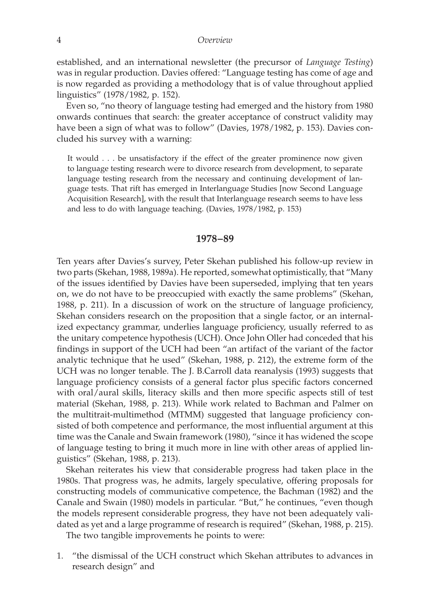established, and an international newsletter (the precursor of *Language Testing*) was in regular production. Davies offered: "Language testing has come of age and is now regarded as providing a methodology that is of value throughout applied linguistics" (1978/1982, p. 152).

Even so, "no theory of language testing had emerged and the history from 1980 onwards continues that search: the greater acceptance of construct validity may have been a sign of what was to follow" (Davies, 1978/1982, p. 153). Davies concluded his survey with a warning:

It would . . . be unsatisfactory if the effect of the greater prominence now given to language testing research were to divorce research from development, to separate language testing research from the necessary and continuing development of language tests. That rift has emerged in Interlanguage Studies [now Second Language Acquisition Research], with the result that Interlanguage research seems to have less and less to do with language teaching. (Davies, 1978/1982, p. 153)

#### **1978–89**

Ten years after Davies's survey, Peter Skehan published his follow-up review in two parts (Skehan, 1988, 1989a). He reported, somewhat optimistically, that "Many of the issues identified by Davies have been superseded, implying that ten years on, we do not have to be preoccupied with exactly the same problems" (Skehan, 1988, p. 211). In a discussion of work on the structure of language proficiency, Skehan considers research on the proposition that a single factor, or an internalized expectancy grammar, underlies language proficiency, usually referred to as the unitary competence hypothesis (UCH). Once John Oller had conceded that his findings in support of the UCH had been "an artifact of the variant of the factor analytic technique that he used" (Skehan, 1988, p. 212), the extreme form of the UCH was no longer tenable. The J. B.Carroll data reanalysis (1993) suggests that language proficiency consists of a general factor plus specific factors concerned with oral/aural skills, literacy skills and then more specific aspects still of test material (Skehan, 1988, p. 213). While work related to Bachman and Palmer on the multitrait-multimethod (MTMM) suggested that language proficiency consisted of both competence and performance, the most influential argument at this time was the Canale and Swain framework (1980), "since it has widened the scope of language testing to bring it much more in line with other areas of applied linguistics" (Skehan, 1988, p. 213).

Skehan reiterates his view that considerable progress had taken place in the 1980s. That progress was, he admits, largely speculative, offering proposals for constructing models of communicative competence, the Bachman (1982) and the Canale and Swain (1980) models in particular. "But," he continues, "even though the models represent considerable progress, they have not been adequately validated as yet and a large programme of research is required" (Skehan, 1988, p. 215).

The two tangible improvements he points to were:

1. "the dismissal of the UCH construct which Skehan attributes to advances in research design" and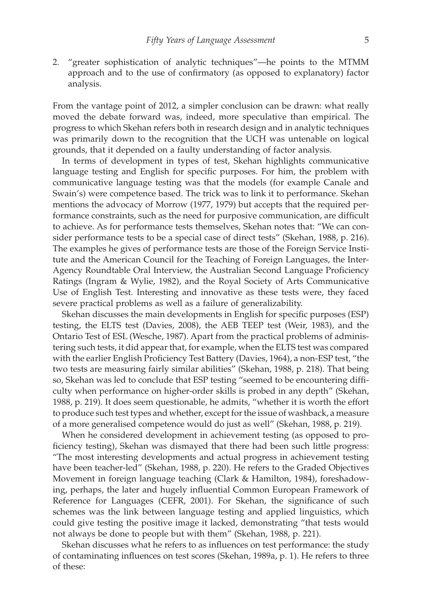2. "greater sophistication of analytic techniques"—he points to the MTMM approach and to the use of confirmatory (as opposed to explanatory) factor analysis.

From the vantage point of 2012, a simpler conclusion can be drawn: what really moved the debate forward was, indeed, more speculative than empirical. The progress to which Skehan refers both in research design and in analytic techniques was primarily down to the recognition that the UCH was untenable on logical grounds, that it depended on a faulty understanding of factor analysis.

In terms of development in types of test, Skehan highlights communicative language testing and English for specific purposes. For him, the problem with communicative language testing was that the models (for example Canale and Swain's) were competence based. The trick was to link it to performance. Skehan mentions the advocacy of Morrow (1977, 1979) but accepts that the required performance constraints, such as the need for purposive communication, are difficult to achieve. As for performance tests themselves, Skehan notes that: "We can consider performance tests to be a special case of direct tests" (Skehan, 1988, p. 216). The examples he gives of performance tests are those of the Foreign Service Institute and the American Council for the Teaching of Foreign Languages, the Inter-Agency Roundtable Oral Interview, the Australian Second Language Proficiency Ratings (Ingram & Wylie, 1982), and the Royal Society of Arts Communicative Use of English Test. Interesting and innovative as these tests were, they faced severe practical problems as well as a failure of generalizability.

Skehan discusses the main developments in English for specific purposes (ESP) testing, the ELTS test (Davies, 2008), the AEB TEEP test (Weir, 1983), and the Ontario Test of ESL (Wesche, 1987). Apart from the practical problems of administering such tests, it did appear that, for example, when the ELTS test was compared with the earlier English Proficiency Test Battery (Davies, 1964), a non-ESP test, "the two tests are measuring fairly similar abilities" (Skehan, 1988, p. 218). That being so, Skehan was led to conclude that ESP testing "seemed to be encountering difficulty when performance on higher-order skills is probed in any depth" (Skehan, 1988, p. 219). It does seem questionable, he admits, "whether it is worth the effort to produce such test types and whether, except for the issue of washback, a measure of a more generalised competence would do just as well" (Skehan, 1988, p. 219).

When he considered development in achievement testing (as opposed to proficiency testing), Skehan was dismayed that there had been such little progress: "The most interesting developments and actual progress in achievement testing have been teacher-led" (Skehan, 1988, p. 220). He refers to the Graded Objectives Movement in foreign language teaching (Clark & Hamilton, 1984), foreshadowing, perhaps, the later and hugely influential Common European Framework of Reference for Languages (CEFR, 2001). For Skehan, the significance of such schemes was the link between language testing and applied linguistics, which could give testing the positive image it lacked, demonstrating "that tests would not always be done to people but with them" (Skehan, 1988, p. 221).

Skehan discusses what he refers to as influences on test performance: the study of contaminating influences on test scores (Skehan, 1989a, p. 1). He refers to three of these: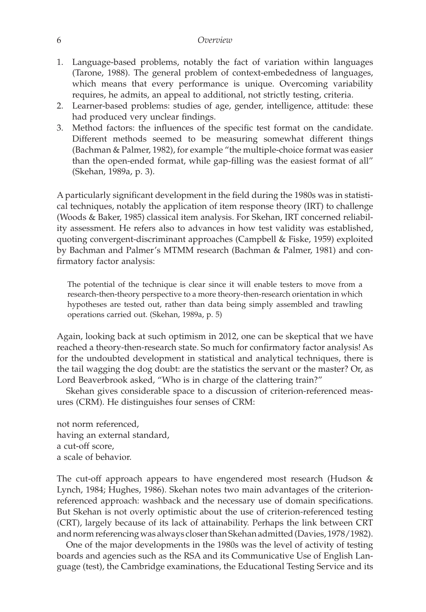- 1. Language-based problems, notably the fact of variation within languages (Tarone, 1988). The general problem of context-embededness of languages, which means that every performance is unique. Overcoming variability requires, he admits, an appeal to additional, not strictly testing, criteria.
- 2. Learner-based problems: studies of age, gender, intelligence, attitude: these had produced very unclear findings.
- 3. Method factors: the influences of the specific test format on the candidate. Different methods seemed to be measuring somewhat different things (Bachman & Palmer, 1982), for example "the multiple-choice format was easier than the open-ended format, while gap-filling was the easiest format of all" (Skehan, 1989a, p. 3).

A particularly significant development in the field during the 1980s was in statistical techniques, notably the application of item response theory (IRT) to challenge (Woods & Baker, 1985) classical item analysis. For Skehan, IRT concerned reliability assessment. He refers also to advances in how test validity was established, quoting convergent-discriminant approaches (Campbell & Fiske, 1959) exploited by Bachman and Palmer's MTMM research (Bachman & Palmer, 1981) and confirmatory factor analysis:

The potential of the technique is clear since it will enable testers to move from a research-then-theory perspective to a more theory-then-research orientation in which hypotheses are tested out, rather than data being simply assembled and trawling operations carried out. (Skehan, 1989a, p. 5)

Again, looking back at such optimism in 2012, one can be skeptical that we have reached a theory-then-research state. So much for confirmatory factor analysis! As for the undoubted development in statistical and analytical techniques, there is the tail wagging the dog doubt: are the statistics the servant or the master? Or, as Lord Beaverbrook asked, "Who is in charge of the clattering train?"

Skehan gives considerable space to a discussion of criterion-referenced measures (CRM). He distinguishes four senses of CRM:

not norm referenced, having an external standard, a cut-off score, a scale of behavior.

The cut-off approach appears to have engendered most research (Hudson & Lynch, 1984; Hughes, 1986). Skehan notes two main advantages of the criterionreferenced approach: washback and the necessary use of domain specifications. But Skehan is not overly optimistic about the use of criterion-referenced testing (CRT), largely because of its lack of attainability. Perhaps the link between CRT and norm referencing was always closer than Skehan admitted (Davies, 1978/1982).

One of the major developments in the 1980s was the level of activity of testing boards and agencies such as the RSA and its Communicative Use of English Language (test), the Cambridge examinations, the Educational Testing Service and its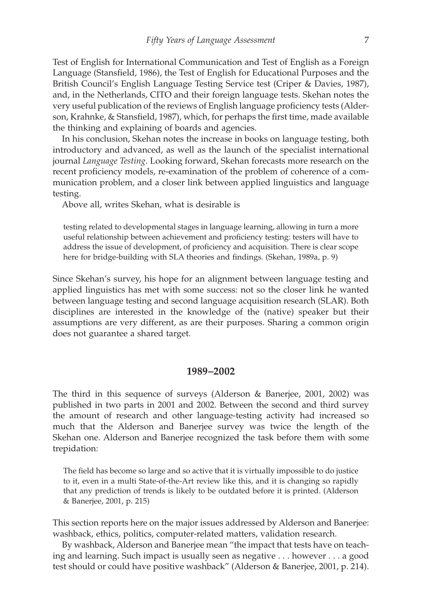Test of English for International Communication and Test of English as a Foreign Language (Stansfield, 1986), the Test of English for Educational Purposes and the British Council's English Language Testing Service test (Criper & Davies, 1987), and, in the Netherlands, CITO and their foreign language tests. Skehan notes the very useful publication of the reviews of English language proficiency tests (Alderson, Krahnke, & Stansfield, 1987), which, for perhaps the first time, made available the thinking and explaining of boards and agencies.

In his conclusion, Skehan notes the increase in books on language testing, both introductory and advanced, as well as the launch of the specialist international journal *Language Testing*. Looking forward, Skehan forecasts more research on the recent proficiency models, re-examination of the problem of coherence of a communication problem, and a closer link between applied linguistics and language testing.

Above all, writes Skehan, what is desirable is

testing related to developmental stages in language learning, allowing in turn a more useful relationship between achievement and proficiency testing: testers will have to address the issue of development, of proficiency and acquisition. There is clear scope here for bridge-building with SLA theories and findings. (Skehan, 1989a, p. 9)

Since Skehan's survey, his hope for an alignment between language testing and applied linguistics has met with some success: not so the closer link he wanted between language testing and second language acquisition research (SLAR). Both disciplines are interested in the knowledge of the (native) speaker but their assumptions are very different, as are their purposes. Sharing a common origin does not guarantee a shared target.

### **1989–2002**

The third in this sequence of surveys (Alderson & Banerjee, 2001, 2002) was published in two parts in 2001 and 2002. Between the second and third survey the amount of research and other language-testing activity had increased so much that the Alderson and Banerjee survey was twice the length of the Skehan one. Alderson and Banerjee recognized the task before them with some trepidation:

The field has become so large and so active that it is virtually impossible to do justice to it, even in a multi State-of-the-Art review like this, and it is changing so rapidly that any prediction of trends is likely to be outdated before it is printed. (Alderson & Banerjee, 2001, p. 215)

This section reports here on the major issues addressed by Alderson and Banerjee: washback, ethics, politics, computer-related matters, validation research.

By washback, Alderson and Banerjee mean "the impact that tests have on teaching and learning. Such impact is usually seen as negative . . . however . . . a good test should or could have positive washback" (Alderson & Banerjee, 2001, p. 214).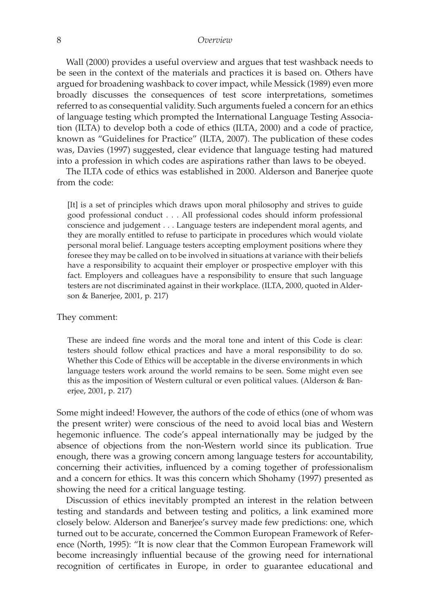Wall (2000) provides a useful overview and argues that test washback needs to be seen in the context of the materials and practices it is based on. Others have argued for broadening washback to cover impact, while Messick (1989) even more broadly discusses the consequences of test score interpretations, sometimes referred to as consequential validity. Such arguments fueled a concern for an ethics of language testing which prompted the International Language Testing Association (ILTA) to develop both a code of ethics (ILTA, 2000) and a code of practice, known as "Guidelines for Practice" (ILTA, 2007). The publication of these codes was, Davies (1997) suggested, clear evidence that language testing had matured into a profession in which codes are aspirations rather than laws to be obeyed.

The ILTA code of ethics was established in 2000. Alderson and Banerjee quote from the code:

[It] is a set of principles which draws upon moral philosophy and strives to guide good professional conduct . . . All professional codes should inform professional conscience and judgement . . . Language testers are independent moral agents, and they are morally entitled to refuse to participate in procedures which would violate personal moral belief. Language testers accepting employment positions where they foresee they may be called on to be involved in situations at variance with their beliefs have a responsibility to acquaint their employer or prospective employer with this fact. Employers and colleagues have a responsibility to ensure that such language testers are not discriminated against in their workplace. (ILTA, 2000, quoted in Alderson & Banerjee, 2001, p. 217)

#### They comment:

These are indeed fine words and the moral tone and intent of this Code is clear: testers should follow ethical practices and have a moral responsibility to do so. Whether this Code of Ethics will be acceptable in the diverse environments in which language testers work around the world remains to be seen. Some might even see this as the imposition of Western cultural or even political values. (Alderson & Banerjee, 2001, p. 217)

Some might indeed! However, the authors of the code of ethics (one of whom was the present writer) were conscious of the need to avoid local bias and Western hegemonic influence. The code's appeal internationally may be judged by the absence of objections from the non-Western world since its publication. True enough, there was a growing concern among language testers for accountability, concerning their activities, influenced by a coming together of professionalism and a concern for ethics. It was this concern which Shohamy (1997) presented as showing the need for a critical language testing.

Discussion of ethics inevitably prompted an interest in the relation between testing and standards and between testing and politics, a link examined more closely below. Alderson and Banerjee's survey made few predictions: one, which turned out to be accurate, concerned the Common European Framework of Reference (North, 1995): "It is now clear that the Common European Framework will become increasingly influential because of the growing need for international recognition of certificates in Europe, in order to guarantee educational and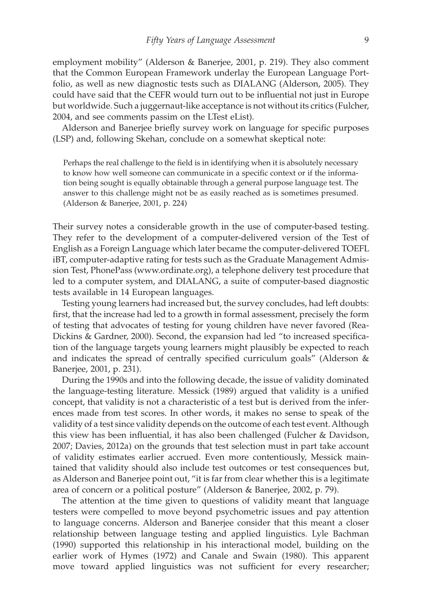employment mobility" (Alderson & Banerjee, 2001, p. 219). They also comment that the Common European Framework underlay the European Language Portfolio, as well as new diagnostic tests such as DIALANG (Alderson, 2005). They could have said that the CEFR would turn out to be influential not just in Europe but worldwide. Such a juggernaut-like acceptance is not without its critics (Fulcher, 2004, and see comments passim on the LTest eList).

Alderson and Banerjee briefly survey work on language for specific purposes (LSP) and, following Skehan, conclude on a somewhat skeptical note:

Perhaps the real challenge to the field is in identifying when it is absolutely necessary to know how well someone can communicate in a specific context or if the information being sought is equally obtainable through a general purpose language test. The answer to this challenge might not be as easily reached as is sometimes presumed. (Alderson & Banerjee, 2001, p. 224)

Their survey notes a considerable growth in the use of computer-based testing. They refer to the development of a computer-delivered version of the Test of English as a Foreign Language which later became the computer-delivered TOEFL iBT, computer-adaptive rating for tests such as the Graduate Management Admission Test, PhonePass [\(www.ordinate.org](http://www.ordinate.org)), a telephone delivery test procedure that led to a computer system, and DIALANG, a suite of computer-based diagnostic tests available in 14 European languages.

Testing young learners had increased but, the survey concludes, had left doubts: first, that the increase had led to a growth in formal assessment, precisely the form of testing that advocates of testing for young children have never favored (Rea-Dickins & Gardner, 2000). Second, the expansion had led "to increased specification of the language targets young learners might plausibly be expected to reach and indicates the spread of centrally specified curriculum goals" (Alderson & Banerjee, 2001, p. 231).

During the 1990s and into the following decade, the issue of validity dominated the language-testing literature. Messick (1989) argued that validity is a unified concept, that validity is not a characteristic of a test but is derived from the inferences made from test scores. In other words, it makes no sense to speak of the validity of a test since validity depends on the outcome of each test event. Although this view has been influential, it has also been challenged (Fulcher & Davidson, 2007; Davies, 2012a) on the grounds that test selection must in part take account of validity estimates earlier accrued. Even more contentiously, Messick maintained that validity should also include test outcomes or test consequences but, as Alderson and Banerjee point out, "it is far from clear whether this is a legitimate area of concern or a political posture" (Alderson & Banerjee, 2002, p. 79).

The attention at the time given to questions of validity meant that language testers were compelled to move beyond psychometric issues and pay attention to language concerns. Alderson and Banerjee consider that this meant a closer relationship between language testing and applied linguistics. Lyle Bachman (1990) supported this relationship in his interactional model, building on the earlier work of Hymes (1972) and Canale and Swain (1980). This apparent move toward applied linguistics was not sufficient for every researcher;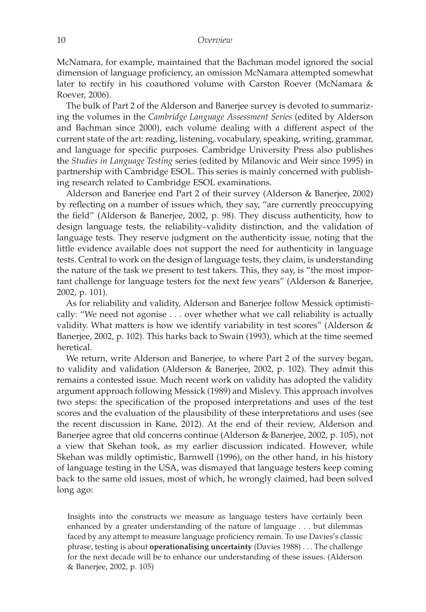McNamara, for example, maintained that the Bachman model ignored the social dimension of language proficiency, an omission McNamara attempted somewhat later to rectify in his coauthored volume with Carston Roever (McNamara & Roever, 2006).

The bulk of Part 2 of the Alderson and Banerjee survey is devoted to summarizing the volumes in the *Cambridge Language Assessment Series* (edited by Alderson and Bachman since 2000), each volume dealing with a different aspect of the current state of the art: reading, listening, vocabulary, speaking, writing, grammar, and language for specific purposes. Cambridge University Press also publishes the *Studies in Language Testing* series (edited by Milanovic and Weir since 1995) in partnership with Cambridge ESOL. This series is mainly concerned with publishing research related to Cambridge ESOL examinations.

Alderson and Banerjee end Part 2 of their survey (Alderson & Banerjee, 2002) by reflecting on a number of issues which, they say, "are currently preoccupying the field" (Alderson & Banerjee, 2002, p. 98). They discuss authenticity, how to design language tests, the reliability–validity distinction, and the validation of language tests. They reserve judgment on the authenticity issue, noting that the little evidence available does not support the need for authenticity in language tests. Central to work on the design of language tests, they claim, is understanding the nature of the task we present to test takers. This, they say, is "the most important challenge for language testers for the next few years" (Alderson & Banerjee, 2002, p. 101).

As for reliability and validity, Alderson and Banerjee follow Messick optimistically: "We need not agonise . . . over whether what we call reliability is actually validity. What matters is how we identify variability in test scores" (Alderson & Banerjee, 2002, p. 102). This harks back to Swain (1993), which at the time seemed heretical.

We return, write Alderson and Banerjee, to where Part 2 of the survey began, to validity and validation (Alderson & Banerjee, 2002, p. 102). They admit this remains a contested issue. Much recent work on validity has adopted the validity argument approach following Messick (1989) and Mislevy. This approach involves two steps: the specification of the proposed interpretations and uses of the test scores and the evaluation of the plausibility of these interpretations and uses (see the recent discussion in Kane, 2012). At the end of their review, Alderson and Banerjee agree that old concerns continue (Alderson & Banerjee, 2002, p. 105), not a view that Skehan took, as my earlier discussion indicated. However, while Skehan was mildly optimistic, Barnwell (1996), on the other hand, in his history of language testing in the USA, was dismayed that language testers keep coming back to the same old issues, most of which, he wrongly claimed, had been solved long ago:

Insights into the constructs we measure as language testers have certainly been enhanced by a greater understanding of the nature of language . . . but dilemmas faced by any attempt to measure language proficiency remain. To use Davies's classic phrase, testing is about **operationalising uncertainty** (Davies 1988) . . . The challenge for the next decade will be to enhance our understanding of these issues. (Alderson & Banerjee, 2002, p. 105)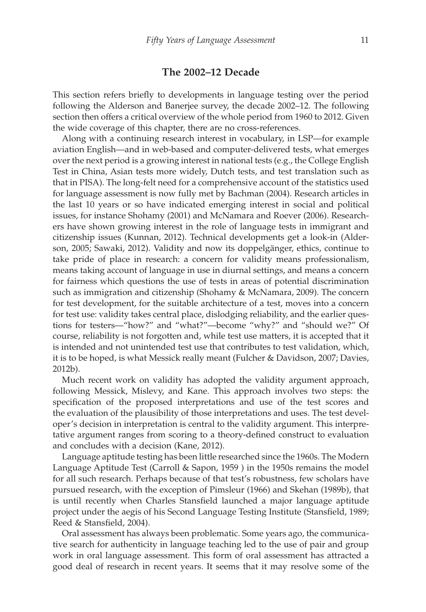## **The 2002–12 Decade**

This section refers briefly to developments in language testing over the period following the Alderson and Banerjee survey, the decade 2002–12. The following section then offers a critical overview of the whole period from 1960 to 2012. Given the wide coverage of this chapter, there are no cross-references.

Along with a continuing research interest in vocabulary, in LSP—for example aviation English—and in web-based and computer-delivered tests, what emerges over the next period is a growing interest in national tests (e.g., the College English Test in China, Asian tests more widely, Dutch tests, and test translation such as that in PISA). The long-felt need for a comprehensive account of the statistics used for language assessment is now fully met by Bachman (2004). Research articles in the last 10 years or so have indicated emerging interest in social and political issues, for instance Shohamy (2001) and McNamara and Roever (2006). Researchers have shown growing interest in the role of language tests in immigrant and citizenship issues (Kunnan, 2012). Technical developments get a look-in (Alderson, 2005; Sawaki, 2012). Validity and now its doppelgänger, ethics, continue to take pride of place in research: a concern for validity means professionalism, means taking account of language in use in diurnal settings, and means a concern for fairness which questions the use of tests in areas of potential discrimination such as immigration and citizenship (Shohamy & McNamara, 2009). The concern for test development, for the suitable architecture of a test, moves into a concern for test use: validity takes central place, dislodging reliability, and the earlier questions for testers—"how?" and "what?"—become "why?" and "should we?" Of course, reliability is not forgotten and, while test use matters, it is accepted that it is intended and not unintended test use that contributes to test validation, which, it is to be hoped, is what Messick really meant (Fulcher & Davidson, 2007; Davies, 2012b).

Much recent work on validity has adopted the validity argument approach, following Messick, Mislevy, and Kane. This approach involves two steps: the specification of the proposed interpretations and use of the test scores and the evaluation of the plausibility of those interpretations and uses. The test developer's decision in interpretation is central to the validity argument. This interpretative argument ranges from scoring to a theory-defined construct to evaluation and concludes with a decision (Kane, 2012).

Language aptitude testing has been little researched since the 1960s. The Modern Language Aptitude Test (Carroll & Sapon, 1959 ) in the 1950s remains the model for all such research. Perhaps because of that test's robustness, few scholars have pursued research, with the exception of Pimsleur (1966) and Skehan (1989b), that is until recently when Charles Stansfield launched a major language aptitude project under the aegis of his Second Language Testing Institute (Stansfield, 1989; Reed & Stansfield, 2004).

Oral assessment has always been problematic. Some years ago, the communicative search for authenticity in language teaching led to the use of pair and group work in oral language assessment. This form of oral assessment has attracted a good deal of research in recent years. It seems that it may resolve some of the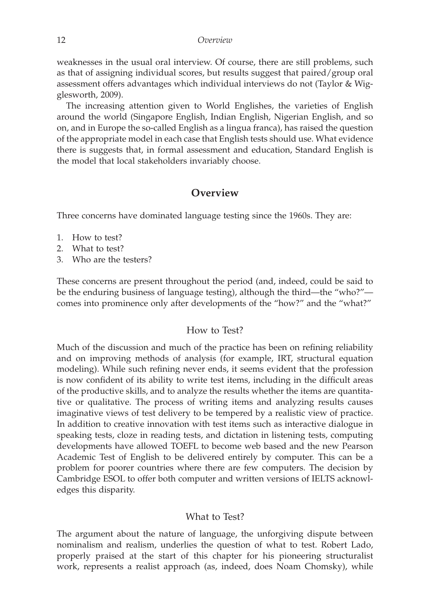weaknesses in the usual oral interview. Of course, there are still problems, such as that of assigning individual scores, but results suggest that paired/group oral assessment offers advantages which individual interviews do not (Taylor & Wigglesworth, 2009).

The increasing attention given to World Englishes, the varieties of English around the world (Singapore English, Indian English, Nigerian English, and so on, and in Europe the so-called English as a lingua franca), has raised the question of the appropriate model in each case that English tests should use. What evidence there is suggests that, in formal assessment and education, Standard English is the model that local stakeholders invariably choose.

## **Overview**

Three concerns have dominated language testing since the 1960s. They are:

- 1. How to test?
- 2. What to test?
- 3. Who are the testers?

These concerns are present throughout the period (and, indeed, could be said to be the enduring business of language testing), although the third—the "who?" comes into prominence only after developments of the "how?" and the "what?"

## How to Test?

Much of the discussion and much of the practice has been on refining reliability and on improving methods of analysis (for example, IRT, structural equation modeling). While such refining never ends, it seems evident that the profession is now confident of its ability to write test items, including in the difficult areas of the productive skills, and to analyze the results whether the items are quantitative or qualitative. The process of writing items and analyzing results causes imaginative views of test delivery to be tempered by a realistic view of practice. In addition to creative innovation with test items such as interactive dialogue in speaking tests, cloze in reading tests, and dictation in listening tests, computing developments have allowed TOEFL to become web based and the new Pearson Academic Test of English to be delivered entirely by computer. This can be a problem for poorer countries where there are few computers. The decision by Cambridge ESOL to offer both computer and written versions of IELTS acknowledges this disparity.

## What to Test?

The argument about the nature of language, the unforgiving dispute between nominalism and realism, underlies the question of what to test. Robert Lado, properly praised at the start of this chapter for his pioneering structuralist work, represents a realist approach (as, indeed, does Noam Chomsky), while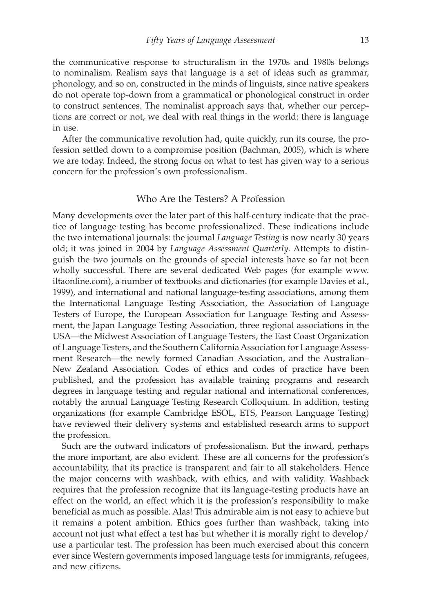the communicative response to structuralism in the 1970s and 1980s belongs to nominalism. Realism says that language is a set of ideas such as grammar, phonology, and so on, constructed in the minds of linguists, since native speakers do not operate top-down from a grammatical or phonological construct in order to construct sentences. The nominalist approach says that, whether our perceptions are correct or not, we deal with real things in the world: there is language in use.

After the communicative revolution had, quite quickly, run its course, the profession settled down to a compromise position (Bachman, 2005), which is where we are today. Indeed, the strong focus on what to test has given way to a serious concern for the profession's own professionalism.

## Who Are the Testers? A Profession

Many developments over the later part of this half-century indicate that the practice of language testing has become professionalized. These indications include the two international journals: the journal *Language Testing* is now nearly 30 years old; it was joined in 2004 by *Language Assessment Quarterly*. Attempts to distinguish the two journals on the grounds of special interests have so far not been wholly successful. There are several dedicated Web pages (for example [www.](http://www.iltaonline.com) [iltaonline.com](http://www.iltaonline.com)), a number of textbooks and dictionaries (for example Davies et al., 1999), and international and national language-testing associations, among them the International Language Testing Association, the Association of Language Testers of Europe, the European Association for Language Testing and Assessment, the Japan Language Testing Association, three regional associations in the USA—the Midwest Association of Language Testers, the East Coast Organization of Language Testers, and the Southern California Association for Language Assessment Research—the newly formed Canadian Association, and the Australian– New Zealand Association. Codes of ethics and codes of practice have been published, and the profession has available training programs and research degrees in language testing and regular national and international conferences, notably the annual Language Testing Research Colloquium. In addition, testing organizations (for example Cambridge ESOL, ETS, Pearson Language Testing) have reviewed their delivery systems and established research arms to support the profession.

Such are the outward indicators of professionalism. But the inward, perhaps the more important, are also evident. These are all concerns for the profession's accountability, that its practice is transparent and fair to all stakeholders. Hence the major concerns with washback, with ethics, and with validity. Washback requires that the profession recognize that its language-testing products have an effect on the world, an effect which it is the profession's responsibility to make beneficial as much as possible. Alas! This admirable aim is not easy to achieve but it remains a potent ambition. Ethics goes further than washback, taking into account not just what effect a test has but whether it is morally right to develop/ use a particular test. The profession has been much exercised about this concern ever since Western governments imposed language tests for immigrants, refugees, and new citizens.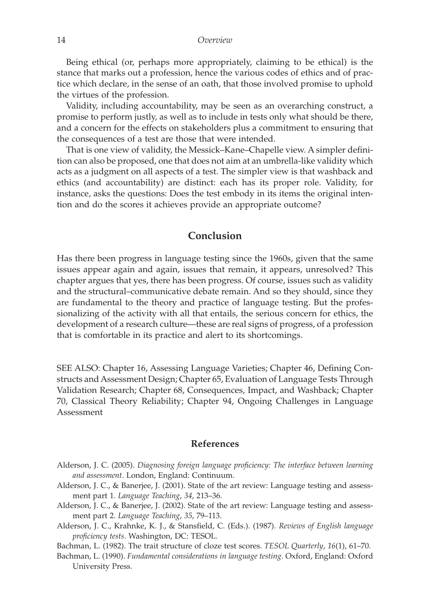Being ethical (or, perhaps more appropriately, claiming to be ethical) is the stance that marks out a profession, hence the various codes of ethics and of practice which declare, in the sense of an oath, that those involved promise to uphold the virtues of the profession.

Validity, including accountability, may be seen as an overarching construct, a promise to perform justly, as well as to include in tests only what should be there, and a concern for the effects on stakeholders plus a commitment to ensuring that the consequences of a test are those that were intended.

That is one view of validity, the Messick–Kane–Chapelle view. A simpler definition can also be proposed, one that does not aim at an umbrella-like validity which acts as a judgment on all aspects of a test. The simpler view is that washback and ethics (and accountability) are distinct: each has its proper role. Validity, for instance, asks the questions: Does the test embody in its items the original intention and do the scores it achieves provide an appropriate outcome?

# **Conclusion**

Has there been progress in language testing since the 1960s, given that the same issues appear again and again, issues that remain, it appears, unresolved? This chapter argues that yes, there has been progress. Of course, issues such as validity and the structural–communicative debate remain. And so they should, since they are fundamental to the theory and practice of language testing. But the professionalizing of the activity with all that entails, the serious concern for ethics, the development of a research culture—these are real signs of progress, of a profession that is comfortable in its practice and alert to its shortcomings.

SEE ALSO: Chapter 16, Assessing Language Varieties; Chapter 46, Defining Constructs and Assessment Design; Chapter 65, Evaluation of Language Tests Through Validation Research; Chapter 68, Consequences, Impact, and Washback; Chapter 70, Classical Theory Reliability; Chapter 94, Ongoing Challenges in Language Assessment

## **References**

- Alderson, J. C. (2005). *Diagnosing foreign language proficiency: The interface between learning and assessment*. London, England: Continuum.
- Alderson, J. C., & Banerjee, J. (2001). State of the art review: Language testing and assessment part 1. *Language Teaching*, *34*, 213–36.
- Alderson, J. C., & Banerjee, J. (2002). State of the art review: Language testing and assessment part 2. *Language Teaching*, *35*, 79–113.
- Alderson, J. C., Krahnke, K. J., & Stansfield, C. (Eds.). (1987). *Reviews of English language proficiency tests*. Washington, DC: TESOL.
- Bachman, L. (1982). The trait structure of cloze test scores. *TESOL Quarterly*, *16*(1), 61–70.
- Bachman, L. (1990). *Fundamental considerations in language testing*. Oxford, England: Oxford University Press.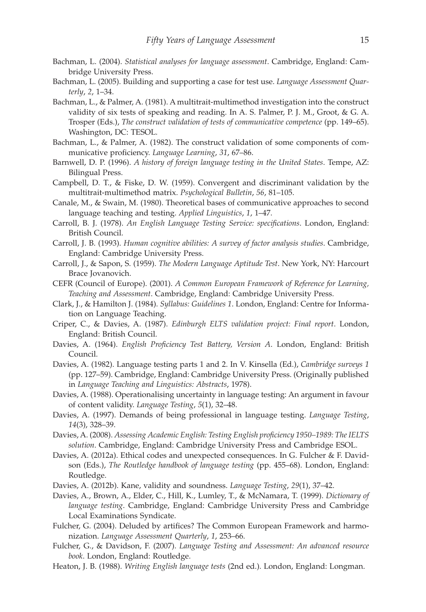- Bachman, L. (2004). *Statistical analyses for language assessment*. Cambridge, England: Cambridge University Press.
- Bachman, L. (2005). Building and supporting a case for test use. *Language Assessment Quarterly*, *2*, 1–34.
- Bachman, L., & Palmer, A. (1981). A multitrait-multimethod investigation into the construct validity of six tests of speaking and reading. In A. S. Palmer, P. J. M., Groot, & G. A. Trosper (Eds.), *The construct validation of tests of communicative competence* (pp. 149–65). Washington, DC: TESOL.
- Bachman, L., & Palmer, A. (1982). The construct validation of some components of communicative proficiency. *Language Learning*, *31*, 67–86.
- Barnwell, D. P. (1996). *A history of foreign language testing in the United States*. Tempe, AZ: Bilingual Press.
- Campbell, D. T., & Fiske, D. W. (1959). Convergent and discriminant validation by the multitrait-multimethod matrix. *Psychological Bulletin*, *56*, 81–105.
- Canale, M., & Swain, M. (1980). Theoretical bases of communicative approaches to second language teaching and testing. *Applied Linguistics*, *1*, 1–47.
- Carroll, B. J. (1978). *An English Language Testing Service: specifications*. London, England: British Council.
- Carroll, J. B. (1993). *Human cognitive abilities: A survey of factor analysis studies*. Cambridge, England: Cambridge University Press.
- Carroll, J., & Sapon, S. (1959). *The Modern Language Aptitude Test*. New York, NY: Harcourt Brace Jovanovich.
- CEFR (Council of Europe). (2001). *A Common European Framework of Reference for Learning, Teaching and Assessment*. Cambridge, England: Cambridge University Press.
- Clark, J., & Hamilton J. (1984). *Syllabus: Guidelines 1*. London, England: Centre for Information on Language Teaching.
- Criper, C., & Davies, A. (1987). *Edinburgh ELTS validation project: Final report*. London, England: British Council.
- Davies, A. (1964). *English Proficiency Test Battery, Version A*. London, England: British Council.
- Davies, A. (1982). Language testing parts 1 and 2. In V. Kinsella (Ed.), *Cambridge surveys 1* (pp. 127–59). Cambridge, England: Cambridge University Press. (Originally published in *Language Teaching and Linguistics: Abstracts*, 1978).
- Davies, A. (1988). Operationalising uncertainty in language testing: An argument in favour of content validity. *Language Testing*, *5*(1), 32–48.
- Davies, A. (1997). Demands of being professional in language testing. *Language Testing*, *14*(3), 328–39.
- Davies, A. (2008). *Assessing Academic English: Testing English proficiency 1950–1989: The IELTS solution*. Cambridge, England: Cambridge University Press and Cambridge ESOL.
- Davies, A. (2012a). Ethical codes and unexpected consequences. In G. Fulcher & F. Davidson (Eds.), *The Routledge handbook of language testing* (pp. 455–68). London, England: Routledge.
- Davies, A. (2012b). Kane, validity and soundness. *Language Testing*, *29*(1), 37–42.
- Davies, A., Brown, A., Elder, C., Hill, K., Lumley, T., & McNamara, T. (1999). *Dictionary of language testing*. Cambridge, England: Cambridge University Press and Cambridge Local Examinations Syndicate.
- Fulcher, G. (2004). Deluded by artifices? The Common European Framework and harmonization. *Language Assessment Quarterly*, *1*, 253–66.
- Fulcher, G., & Davidson, F. (2007). *Language Testing and Assessment: An advanced resource book*. London, England: Routledge.
- Heaton, J. B. (1988). *Writing English language tests* (2nd ed.). London, England: Longman.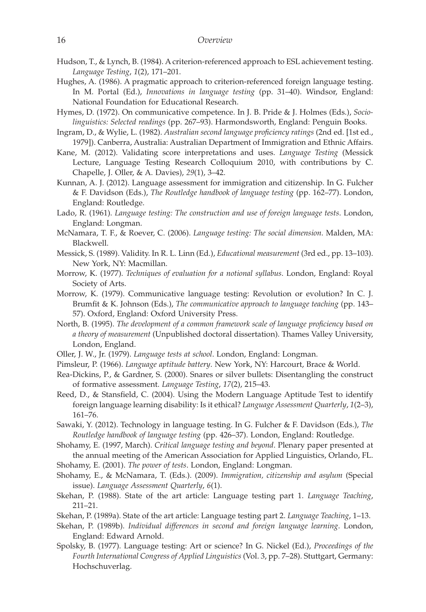- Hudson, T., & Lynch, B. (1984). A criterion-referenced approach to ESL achievement testing. *Language Testing*, *1*(2), 171–201.
- Hughes, A. (1986). A pragmatic approach to criterion-referenced foreign language testing. In M. Portal (Ed.), *Innovations in language testing* (pp. 31–40). Windsor, England: National Foundation for Educational Research.
- Hymes, D. (1972). On communicative competence. In J. B. Pride & J. Holmes (Eds.), *Sociolinguistics: Selected readings* (pp. 267–93). Harmondsworth, England: Penguin Books.
- Ingram, D., & Wylie, L. (1982). *Australian second language proficiency ratings* (2nd ed. [1st ed., 1979]). Canberra, Australia: Australian Department of Immigration and Ethnic Affairs.
- Kane, M. (2012). Validating score interpretations and uses. *Language Testing* (Messick Lecture, Language Testing Research Colloquium 2010, with contributions by C. Chapelle, J. Oller, & A. Davies), *29*(1), 3–42.
- Kunnan, A. J. (2012). Language assessment for immigration and citizenship. In G. Fulcher & F. Davidson (Eds.), *The Routledge handbook of language testing* (pp. 162–77). London, England: Routledge.
- Lado, R. (1961). *Language testing: The construction and use of foreign language tests*. London, England: Longman.
- McNamara, T. F., & Roever, C. (2006). *Language testing: The social dimension*. Malden, MA: Blackwell.
- Messick, S. (1989). Validity. In R. L. Linn (Ed.), *Educational measurement* (3rd ed., pp. 13–103). New York, NY: Macmillan.
- Morrow, K. (1977). *Techniques of evaluation for a notional syllabus*. London, England: Royal Society of Arts.
- Morrow, K. (1979). Communicative language testing: Revolution or evolution? In C. J. Brumfit & K. Johnson (Eds.), *The communicative approach to language teaching* (pp. 143– 57). Oxford, England: Oxford University Press.
- North, B. (1995). *The development of a common framework scale of language proficiency based on a theory of measurement* (Unpublished doctoral dissertation). Thames Valley University, London, England.
- Oller, J. W., Jr. (1979). *Language tests at school*. London, England: Longman.
- Pimsleur, P. (1966). *Language aptitude battery*. New York, NY: Harcourt, Brace & World.
- Rea-Dickins, P., & Gardner, S. (2000). Snares or silver bullets: Disentangling the construct of formative assessment. *Language Testing*, *17*(2), 215–43.
- Reed, D., & Stansfield, C. (2004). Using the Modern Language Aptitude Test to identify foreign language learning disability: Is it ethical? *Language Assessment Quarterly*, *1*(2–3), 161–76.
- Sawaki, Y. (2012). Technology in language testing. In G. Fulcher & F. Davidson (Eds.), *The Routledge handbook of language testing* (pp. 426–37). London, England: Routledge.
- Shohamy, E. (1997, March). *Critical language testing and beyond*. Plenary paper presented at the annual meeting of the American Association for Applied Linguistics, Orlando, FL.
- Shohamy, E. (2001). *The power of tests*. London, England: Longman.
- Shohamy, E., & McNamara, T. (Eds.). (2009). *Immigration, citizenship and asylum* (Special issue). *Language Assessment Quarterly*, *6*(1).
- Skehan, P. (1988). State of the art article: Language testing part 1. *Language Teaching*, 211–21.
- Skehan, P. (1989a). State of the art article: Language testing part 2. *Language Teaching*, 1–13.
- Skehan, P. (1989b). *Individual differences in second and foreign language learning*. London, England: Edward Arnold.
- Spolsky, B. (1977). Language testing: Art or science? In G. Nickel (Ed.), *Proceedings of the Fourth International Congress of Applied Linguistics* (Vol. 3, pp. 7–28). Stuttgart, Germany: Hochschuverlag.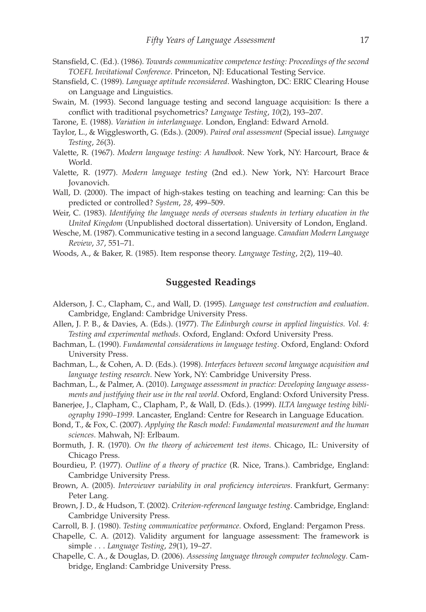- Stansfield, C. (Ed.). (1986). *Towards communicative competence testing: Proceedings of the second TOEFL Invitational Conference*. Princeton, NJ: Educational Testing Service.
- Stansfield, C. (1989). *Language aptitude reconsidered*. Washington, DC: ERIC Clearing House on Language and Linguistics.
- Swain, M. (1993). Second language testing and second language acquisition: Is there a conflict with traditional psychometrics? *Language Testing*, *10*(2), 193–207.
- Tarone, E. (1988). *Variation in interlanguage*. London, England: Edward Arnold.
- Taylor, L., & Wigglesworth, G. (Eds.). (2009). *Paired oral assessment* (Special issue). *Language Testing*, *26*(3).
- Valette, R. (1967). *Modern language testing: A handbook*. New York, NY: Harcourt, Brace & World.
- Valette, R. (1977). *Modern language testing* (2nd ed.). New York, NY: Harcourt Brace Jovanovich.
- Wall, D. (2000). The impact of high-stakes testing on teaching and learning: Can this be predicted or controlled? *System*, *28*, 499–509.
- Weir, C. (1983). *Identifying the language needs of overseas students in tertiary education in the United Kingdom* (Unpublished doctoral dissertation). University of London, England.
- Wesche, M. (1987). Communicative testing in a second language. *Canadian Modern Language Review*, *37*, 551–71.
- Woods, A., & Baker, R. (1985). Item response theory. *Language Testing*, *2*(2), 119–40.

# **Suggested Readings**

- Alderson, J. C., Clapham, C., and Wall, D. (1995). *Language test construction and evaluation*. Cambridge, England: Cambridge University Press.
- Allen, J. P. B., & Davies, A. (Eds.). (1977). *The Edinburgh course in applied linguistics. Vol. 4: Testing and experimental methods*. Oxford, England: Oxford University Press.
- Bachman, L. (1990). *Fundamental considerations in language testing*. Oxford, England: Oxford University Press.
- Bachman, L., & Cohen, A. D. (Eds.). (1998). *Interfaces between second language acquisition and language testing research*. New York, NY: Cambridge University Press.
- Bachman, L., & Palmer, A. (2010). *Language assessment in practice: Developing language assessments and justifying their use in the real world*. Oxford, England: Oxford University Press.
- Banerjee, J., Clapham, C., Clapham, P., & Wall, D. (Eds.). (1999). *ILTA language testing bibliography 1990–1999*. Lancaster, England: Centre for Research in Language Education.
- Bond, T., & Fox, C. (2007). *Applying the Rasch model: Fundamental measurement and the human sciences*. Mahwah, NJ: Erlbaum.
- Bormuth, J. R. (1970). *On the theory of achievement test items*. Chicago, IL: University of Chicago Press.
- Bourdieu, P. (1977). *Outline of a theory of practice* (R. Nice, Trans.). Cambridge, England: Cambridge University Press.
- Brown, A. (2005). *Interviewer variability in oral proficiency interviews*. Frankfurt, Germany: Peter Lang.
- Brown, J. D., & Hudson, T. (2002). *Criterion-referenced language testing*. Cambridge, England: Cambridge University Press.
- Carroll, B. J. (1980). *Testing communicative performance*. Oxford, England: Pergamon Press.
- Chapelle, C. A. (2012). Validity argument for language assessment: The framework is simple . . . *Language Testing*, *29*(1), 19–27.
- Chapelle, C. A., & Douglas, D. (2006). *Assessing language through computer technology*. Cambridge, England: Cambridge University Press.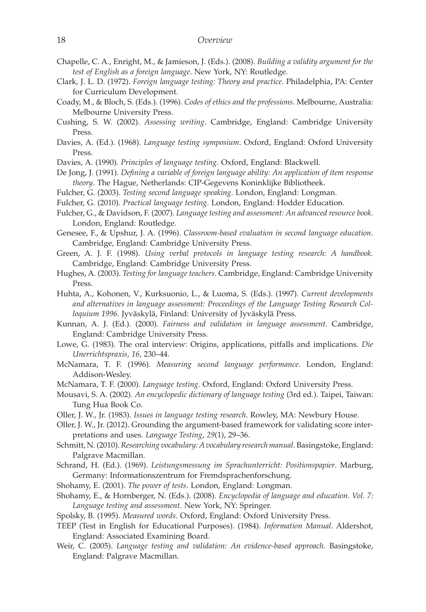- Chapelle, C. A., Enright, M., & Jamieson, J. (Eds.). (2008). *Building a validity argument for the test of English as a foreign language*. New York, NY: Routledge.
- Clark, J. L. D. (1972). *Foreign language testing: Theory and practice*. Philadelphia, PA: Center for Curriculum Development.
- Coady, M., & Bloch, S. (Eds.). (1996). *Codes of ethics and the professions*. Melbourne, Australia: Melbourne University Press.
- Cushing, S. W. (2002). *Assessing writing*. Cambridge, England: Cambridge University Press.
- Davies, A. (Ed.). (1968). *Language testing symposium*. Oxford, England: Oxford University Press.
- Davies, A. (1990). *Principles of language testing*. Oxford, England: Blackwell.
- De Jong, J. (1991). *Defining a variable of foreign language ability: An application of item response theory*. The Hague, Netherlands: CIP-Gegevens Koninklijke Bibliotheek.
- Fulcher, G. (2003). *Testing second language speaking*. London, England: Longman.
- Fulcher, G. (2010). *Practical language testing*. London, England: Hodder Education.
- Fulcher, G., & Davidson, F. (2007). *Language testing and assessment: An advanced resource book*. London, England: Routledge.
- Genesee, F., & Upshur, J. A. (1996). *Classroom-based evaluation in second language education*. Cambridge, England: Cambridge University Press.
- Green, A. J. F. (1998). *Using verbal protocols in language testing research: A handbook*. Cambridge, England: Cambridge University Press.
- Hughes, A. (2003). *Testing for language teachers*. Cambridge, England: Cambridge University Press.
- Huhta, A., Kohonen, V., Kurksuonio, L., & Luoma, S. (Eds.). (1997). *Current developments and alternatives in language assessment: Proceedings of the Language Testing Research Colloquium 1996*. Jyväskylä, Finland: University of Jyväskylä Press.
- Kunnan, A. J. (Ed.). (2000). *Fairness and validation in language assessment*. Cambridge, England: Cambridge University Press.
- Lowe, G. (1983). The oral interview: Origins, applications, pitfalls and implications. *Die Unerrichtspraxis*, *16*, 230–44.
- McNamara, T. F. (1996). *Measuring second language performance*. London, England: Addison-Wesley.
- McNamara, T. F. (2000). *Language testing*. Oxford, England: Oxford University Press.
- Mousavi, S. A. (2002). *An encyclopedic dictionary of language testing* (3rd ed.). Taipei, Taiwan: Tung Hua Book Co.
- Oller, J. W., Jr. (1983). *Issues in language testing research*. Rowley, MA: Newbury House.
- Oller, J. W., Jr. (2012). Grounding the argument-based framework for validating score interpretations and uses. *Language Testing*, *29*(1), 29–36.
- Schmitt, N. (2010). *Researching vocabulary: A vocabulary research manual*. Basingstoke, England: Palgrave Macmillan.
- Schrand, H. (Ed.). (1969). *Leistungsmessung im Sprachunterricht: Positionspapier*. Marburg, Germany: Informationszentrum for Fremdsprachenforschung.
- Shohamy, E. (2001). *The power of tests*. London, England: Longman.
- Shohamy, E., & Hornberger, N. (Eds.). (2008). *Encyclopedia of language and education. Vol. 7: Language testing and assessment*. New York, NY: Springer.

Spolsky, B. (1995). *Measured words*. Oxford, England: Oxford University Press.

- TEEP (Test in English for Educational Purposes). (1984). *Information Manual*. Aldershot, England: Associated Examining Board.
- Weir, C. (2005). *Language testing and validation: An evidence-based approach*. Basingstoke, England: Palgrave Macmillan.